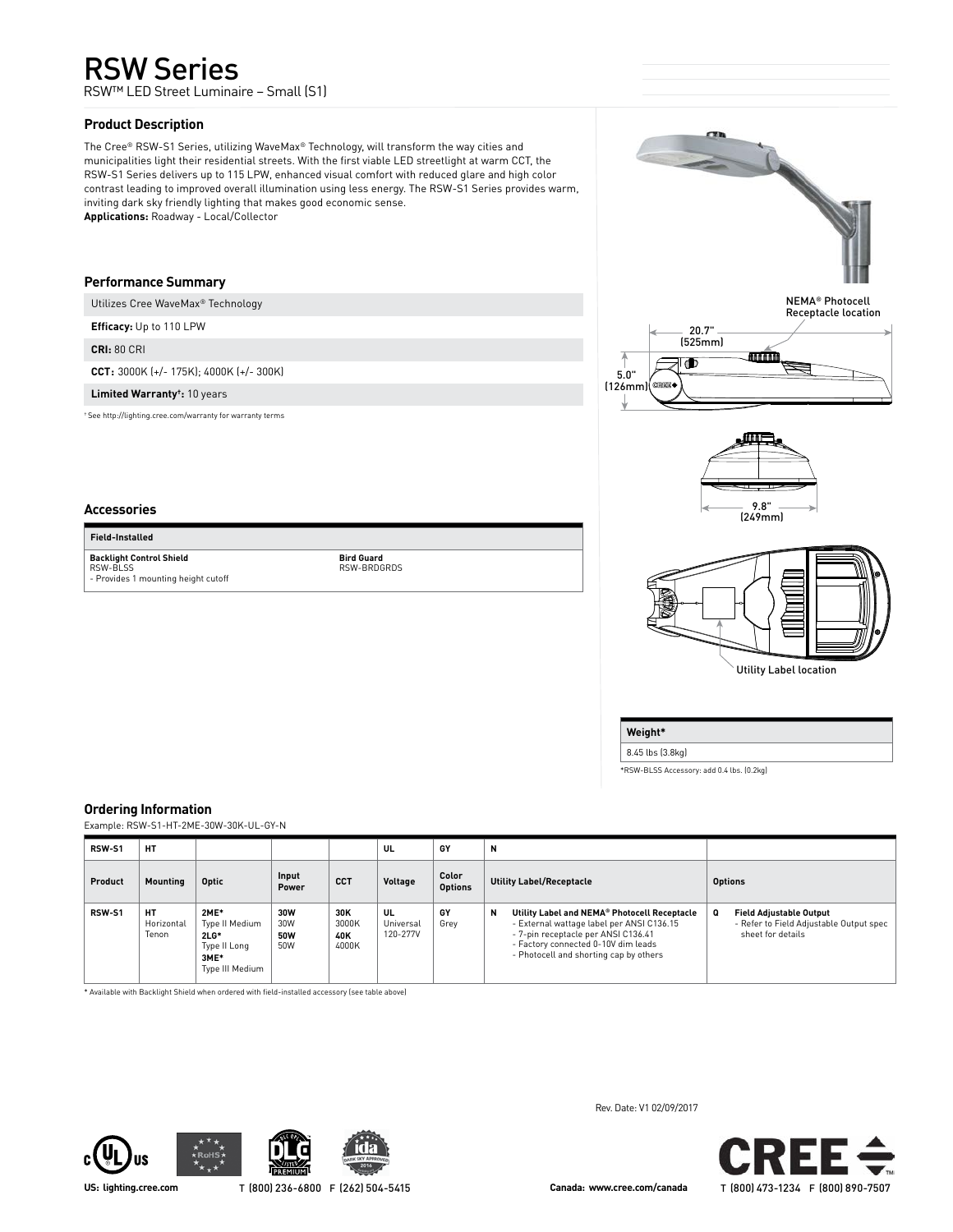# RSW Series

RSW™ LED Street Luminaire – Small (S1)

# **Product Description**

The Cree® RSW-S1 Series, utilizing WaveMax® Technology, will transform the way cities and municipalities light their residential streets. With the first viable LED streetlight at warm CCT, the RSW-S1 Series delivers up to 115 LPW, enhanced visual comfort with reduced glare and high color contrast leading to improved overall illumination using less energy. The RSW-S1 Series provides warm, inviting dark sky friendly lighting that makes good economic sense. **Applications:** Roadway - Local/Collector

**Bird Guard** RSW-BRDGRDS

# **Performance Summary**

Utilizes Cree WaveMax® Technology

**Efficacy:** Up to 110 LPW

**CRI:** 80 CRI

**Accessories Field-Installed Backlight Control Shield** RSW-BLSS

**CCT:** 3000K (+/- 175K); 4000K (+/- 300K)

**Limited Warranty†:** 10 years

- Provides 1 mounting height cutoff

† See http://lighting.cree.com/warranty for warranty terms



NEMA® Photocell Receptacle location







8.45 lbs (3.8kg)

**Weight\***

\*RSW-BLSS Accessory: add 0.4 lbs. (0.2kg)

# **Ordering Information**

Example: RSW-S1-HT-2ME-30W-30K-UL-GY-N

| <b>RSW-S1</b> | <b>HT</b>                 |                                                                             |                                 |                              | UL                          | GY                      | N                                                                                                                                                                                                                      |                                                                                                     |
|---------------|---------------------------|-----------------------------------------------------------------------------|---------------------------------|------------------------------|-----------------------------|-------------------------|------------------------------------------------------------------------------------------------------------------------------------------------------------------------------------------------------------------------|-----------------------------------------------------------------------------------------------------|
| Product       | Mounting                  | Optic                                                                       | Input<br>Power                  | <b>CCT</b>                   | Voltage                     | Color<br><b>Options</b> | <b>Utility Label/Receptacle</b>                                                                                                                                                                                        | <b>Options</b>                                                                                      |
| RSW-S1        | HТ<br>Horizontal<br>Tenon | 2ME*<br>Type II Medium<br>$2LG*$<br>Type II Long<br>3ME*<br>Type III Medium | 30W<br>30W<br><b>50W</b><br>50W | 30K<br>3000K<br>40K<br>4000K | UL<br>Universal<br>120-277V | GY<br>Grey              | N<br>Utility Label and NEMA® Photocell Receptacle<br>- External wattage label per ANSI C136.15<br>- 7-pin receptacle per ANSI C136.41<br>- Factory connected 0-10V dim leads<br>- Photocell and shorting cap by others | o<br><b>Field Adjustable Output</b><br>- Refer to Field Adjustable Output spec<br>sheet for details |

\* Available with Backlight Shield when ordered with field-installed accessory (see table above)







Rev. Date: V1 02/09/2017

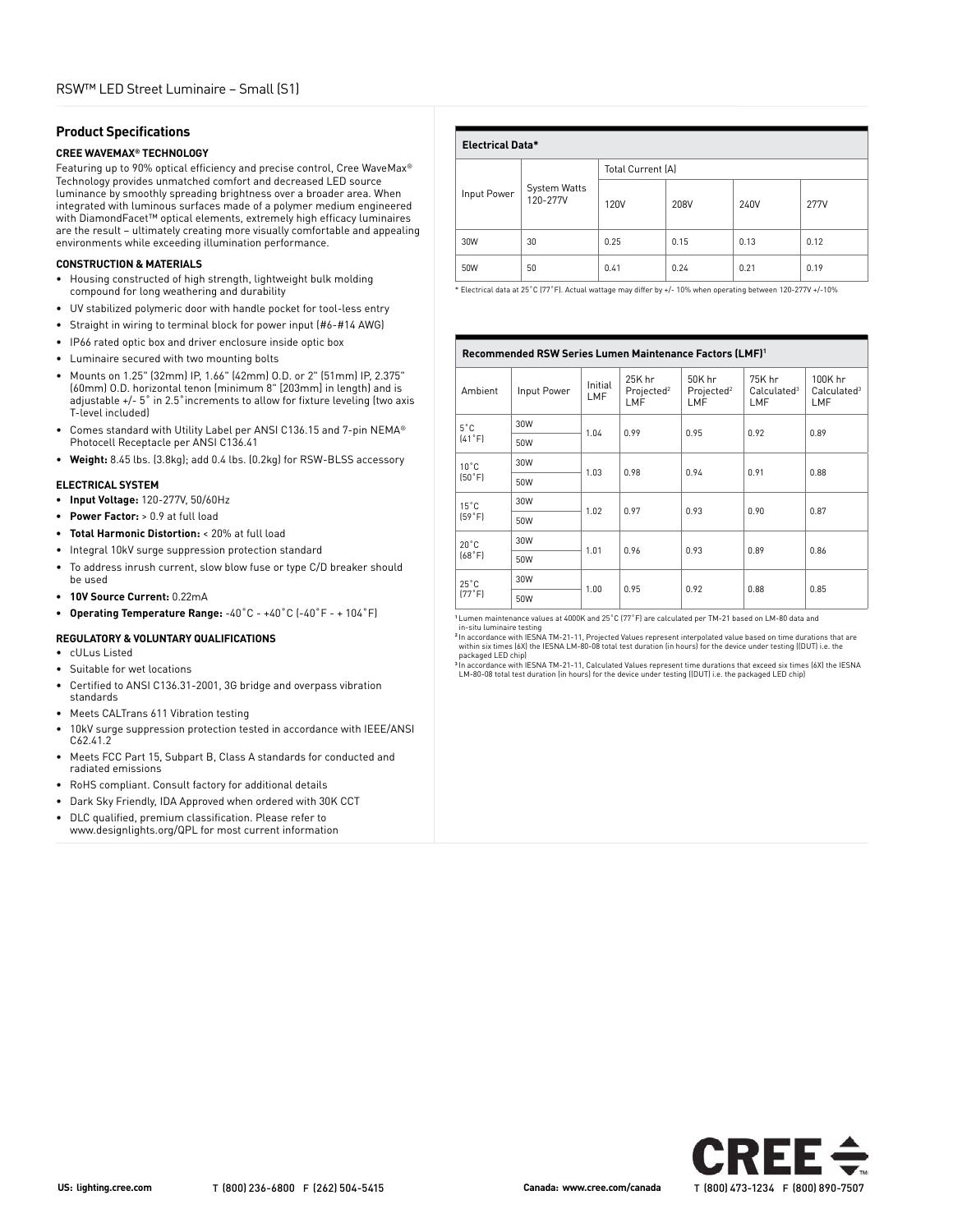# **Product Specifications**

# **CREE WAVEMAX® TECHNOLOGY**

Featuring up to 90% optical efficiency and precise control, Cree WaveMax® Technology provides unmatched comfort and decreased LED source luminance by smoothly spreading brightness over a broader area. When integrated with luminous surfaces made of a polymer medium engineered with DiamondFacet™ optical elements, extremely high efficacy luminaires are the result – ultimately creating more visually comfortable and appealing environments while exceeding illumination performance.

#### **CONSTRUCTION & MATERIALS**

- Housing constructed of high strength, lightweight bulk molding compound for long weathering and durability
- UV stabilized polymeric door with handle pocket for tool-less entry
- Straight in wiring to terminal block for power input (#6-#14 AWG)
- IP66 rated optic box and driver enclosure inside optic box
- Luminaire secured with two mounting bolts
- Mounts on 1.25" (32mm) IP, 1.66" (42mm) O.D. or 2" (51mm) IP, 2.375" (60mm) O.D. horizontal tenon (minimum 8" [203mm] in length) and is adjustable +/- 5˚ in 2.5˚increments to allow for fixture leveling (two axis T-level included)
- Comes standard with Utility Label per ANSI C136.15 and 7-pin NEMA® Photocell Receptacle per ANSI C136.41
- **Weight:** 8.45 lbs. (3.8kg); add 0.4 lbs. (0.2kg) for RSW-BLSS accessory

#### **ELECTRICAL SYSTEM**

- **• Input Voltage:** 120-277V, 50/60Hz
- **• Power Factor:** > 0.9 at full load
- **• Total Harmonic Distortion:** < 20% at full load
- Integral 10kV surge suppression protection standard
- To address inrush current, slow blow fuse or type C/D breaker should be used
- **• 10V Source Current:** 0.22mA
- **• Operating Temperature Range:** -40˚C +40˚C (-40˚F + 104˚F)

#### **REGULATORY & VOLUNTARY QUALIFICATIONS**

- cULus Listed
- Suitable for wet locations
- Certified to ANSI C136.31-2001, 3G bridge and overpass vibration standards
- Meets CALTrans 611 Vibration testing
- 10kV surge suppression protection tested in accordance with IEEE/ANSI C62.41.2
- Meets FCC Part 15, Subpart B, Class A standards for conducted and radiated emissions
- RoHS compliant. Consult factory for additional details
- Dark Sky Friendly, IDA Approved when ordered with 30K CCT
- DLC qualified, premium classification. Please refer to www.designlights.org/QPL for most current information

| <b>Electrical Data*</b> |                          |                   |      |      |             |
|-------------------------|--------------------------|-------------------|------|------|-------------|
|                         |                          | Total Current (A) |      |      |             |
| Input Power             | System Watts<br>120-277V | 120V              | 208V | 240V | <b>277V</b> |
| 30W                     | 30                       | 0.25              | 0.15 | 0.13 | 0.12        |
| 50W                     | 50                       | 0.41              | 0.24 | 0.21 | 0.19        |

\* Electrical data at 25˚C (77˚F). Actual wattage may differ by +/- 10% when operating between 120-277V +/-10%

| Recommended RSW Series Lumen Maintenance Factors (LMF) <sup>1</sup> |             |                |                                         |                                         |                                          |                                           |
|---------------------------------------------------------------------|-------------|----------------|-----------------------------------------|-----------------------------------------|------------------------------------------|-------------------------------------------|
| Ambient                                                             | Input Power | Initial<br>LMF | 25K hr<br>Projected <sup>2</sup><br>LMF | 50K hr<br>Projected <sup>2</sup><br>LMF | 75K hr<br>Calculated <sup>3</sup><br>LMF | 100K hr<br>Calculated <sup>3</sup><br>LMF |
| $5^{\circ}$ C                                                       | 30W         | 1.04           | 0.99                                    | 0.95                                    | 0.92                                     | 0.89                                      |
| [41°F]<br>50W                                                       |             |                |                                         |                                         |                                          |                                           |
| $10^{\circ}$ C                                                      | 30W<br>1.03 |                | 0.98                                    | 0.94                                    | 0.91                                     | 0.88                                      |
| [50°F]                                                              | 50W         |                |                                         |                                         |                                          |                                           |
| $15^{\circ}$ C                                                      | 30W         |                | 0.97                                    | 0.93                                    | 0.90                                     | 0.87                                      |
| (59°F)                                                              | 50W         | 1.02           |                                         |                                         |                                          |                                           |
| $20^{\circ}$ C                                                      | 30W         | 1.01           | 0.96                                    | 0.93                                    | 0.89                                     | 0.86                                      |
| (68°F)<br>50W                                                       |             |                |                                         |                                         |                                          |                                           |
| $25^{\circ}$ C                                                      | 30W         | 1.00           | 0.95                                    | 0.92                                    | 0.88                                     | 0.85                                      |
| [77°F]                                                              | 50W         |                |                                         |                                         |                                          |                                           |

**<sup>1</sup>** Lumen maintenance values at 4000K and 25˚C (77˚F) are calculated per TM-21 based on LM-80 data and

 in-situ luminaire testing **<sup>2</sup>** In accordance with IESNA TM-21-11, Projected Values represent interpolated value based on time durations that are within six times (6X) the IESNA LM-80-08 total test duration (in hours) for the device under testing ((DUT) i.e. the

packaged LED chip)<br><sup>3</sup> In accordance with IESNA TM-21-11, Calculated Values represent time durations that exceed six times (6X) the IESNA<br>LM-80-08 total test duration (in hours) for the device under testing ([DUT] i.e. the

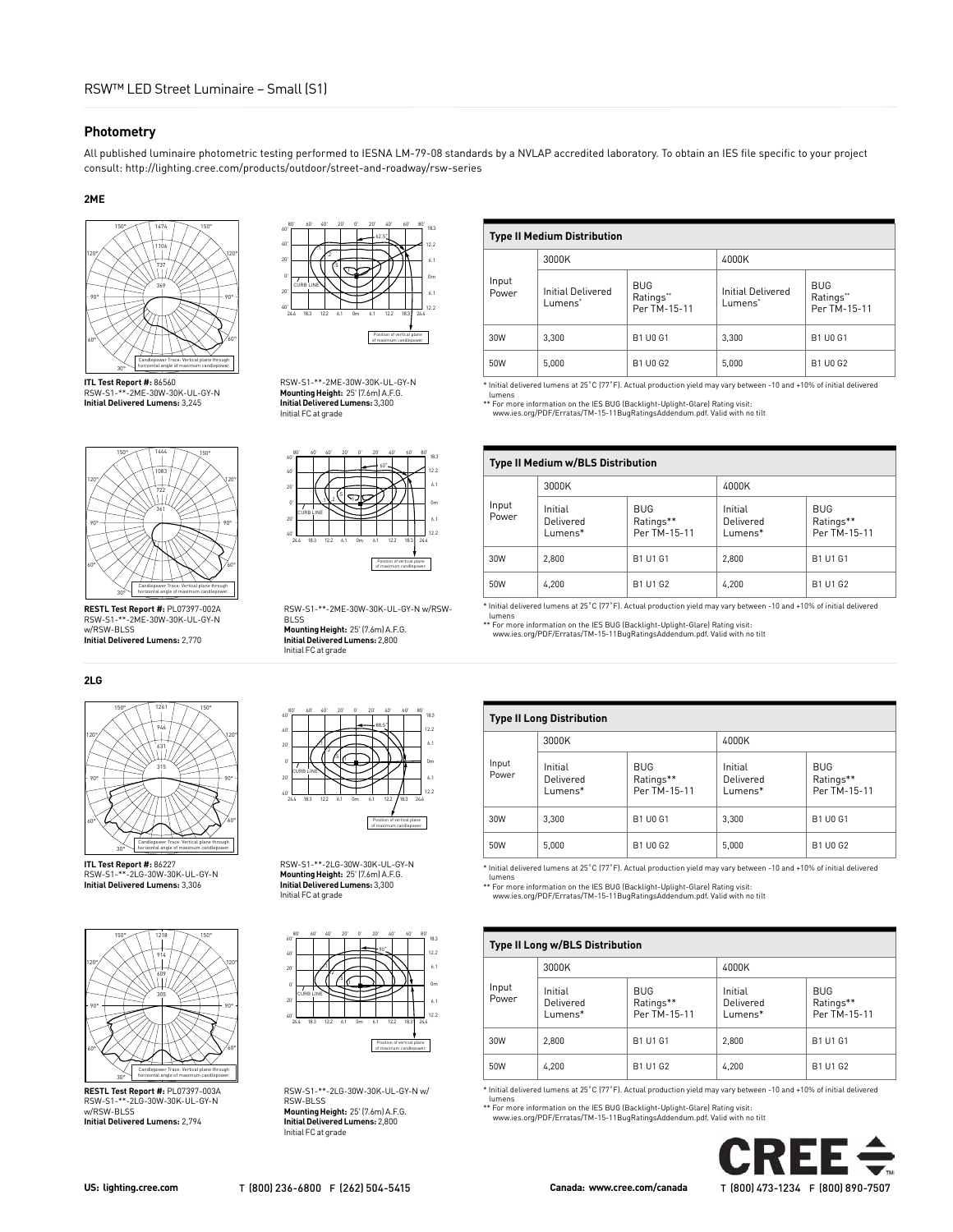#### **Photometry**

All published luminaire photometric testing performed to IESNA LM-79-08 standards by a NVLAP accredited laboratory. To obtain an IES file specific to your project consult: http://lighting.cree.com/products/outdoor/street-and-roadway/rsw-series

#### **2ME**



**ITL Test Report #:** 86560 RSW-S1-\*\*-2ME-30W-30K-UL-GY-N **Initial Delivered Lumens:** 3,245



**RESTL Test Report #:** PL07397-002A RSW-S1-\*\*-2ME-30W-30K-UL-GY-N w/RSW-BLSS **Initial Delivered Lumens:** 2,770

#### **2LG**



**ITL Test Report #:** 86227 RSW-S1-\*\*-2LG-30W-30K-UL-GY-N **Initial Delivered Lumens:** 3,306



**RESTL Test Report #:** PL07397-003A RSW-S1-\*\*-2LG-30W-30K-UL-GY-N w/RSW-BLSS **Initial Delivered Lumens:** 2,794



RSW-S1-\*\*-2ME-30W-30K-UL-GY-N **Mounting Height:** 25' (7.6m) A.F.G. **Initial Delivered Lumens:** 3,300 Initial FC at grade





BLSS **Mounting Height:** 25' (7.6m) A.F.G. **Initial Delivered Lumens:** 2,800 Initial FC at grade



RSW-S1-\*\*-2LG-30W-30K-UL-GY-N **Mounting Height:** 25' (7.6m) A.F.G. **Initial Delivered Lumens:** 3,300 Initial FC at grade



RSW-S1-\*\*-2LG-30W-30K-UL-GY-N w/ RSW-BLSS **Mounting Height:** 25' (7.6m) A.F.G. **Initial Delivered Lumens:** 2,800 Initial FC at grade

# **Type II Medium Distribution**

|                | 3000K                               |                                         |                                          |                                         |  |
|----------------|-------------------------------------|-----------------------------------------|------------------------------------------|-----------------------------------------|--|
| Input<br>Power | <b>Initial Delivered</b><br>Lumens* | <b>BUG</b><br>Ratings**<br>Per TM-15-11 | Initial Delivered<br>Lumens <sup>*</sup> | <b>BUG</b><br>Ratings**<br>Per TM-15-11 |  |
| 30W            | 3.300                               | <b>B1 U0 G1</b>                         | 3.300                                    | <b>B1 U0 G1</b>                         |  |
| 50W            | 5.000                               | <b>B1 U0 G2</b>                         | 5.000                                    | B1 U0 G2                                |  |

\* Initial delivered lumens at 25˚C (77˚F). Actual production yield may vary between -10 and +10% of initial delivered lumens

\*\* For more information on the IES BUG (Backlight-Uplight-Glare) Rating visit: www.ies.org/PDF/Erratas/TM-15-11BugRatingsAddendum.pdf. Valid with no tilt

| <b>Type II Medium w/BLS Distribution</b> |                                       |                                         |                                       |                                         |
|------------------------------------------|---------------------------------------|-----------------------------------------|---------------------------------------|-----------------------------------------|
|                                          | 3000K                                 |                                         | 4000K                                 |                                         |
| Input<br>Power                           | Initial<br>Delivered<br>$L$ umens $*$ | <b>BUG</b><br>Ratings**<br>Per TM-15-11 | Initial<br>Delivered<br>$L$ umens $*$ | <b>BUG</b><br>Ratings**<br>Per TM-15-11 |
| 30W                                      | 2.800                                 | B1 U1 G1                                | 2.800                                 | B1 U1 G1                                |
| 50W                                      | 4,200                                 | B1 U1 G2                                | 4.200                                 | B1 U1 G2                                |

\* Initial delivered lumens at 25˚C (77˚F). Actual production yield may vary between -10 and +10% of initial delivered

lumens \*\* For more information on the IES BUG (Backlight-Uplight-Glare) Rating visit:

www.ies.org/PDF/Erratas/TM-15-11BugRatingsAddendum.pdf. Valid with no tilt

### **Type II Long Distribution**

| ., pc  Long Distribution |                                       |                                         |                                 |                                         |  |
|--------------------------|---------------------------------------|-----------------------------------------|---------------------------------|-----------------------------------------|--|
|                          | 3000K                                 |                                         | 4000K                           |                                         |  |
| Input<br>Power           | Initial<br>Delivered<br>$L$ umens $*$ | <b>BUG</b><br>Ratings**<br>Per TM-15-11 | Initial<br>Delivered<br>Lumens* | <b>BUG</b><br>Ratings**<br>Per TM-15-11 |  |
| 30W                      | 3.300                                 | <b>B1 U0 G1</b>                         | 3.300                           | <b>B1 U0 G1</b>                         |  |
| 50W                      | 5.000                                 | B1 U0 G2                                | 5,000                           | B1 U0 G2                                |  |

\* Initial delivered lumens at 25˚C (77˚F). Actual production yield may vary between -10 and +10% of initial delivered

lumens \*\* For more information on the IES BUG (Backlight-Uplight-Glare) Rating visit: www.ies.org/PDF/Erratas/TM-15-11BugRatingsAddendum.pdf. Valid with no tilt

#### **Type II Long w/BLS Distribution** Input Power 3000K 4000K Initial Delivered BUG Ratings\*\* Initial Delivered

| <b>FUVVEI</b> | Delivered<br>Lumens* | Ratings**<br>Per TM-15-11 | Delivered<br>Lumens* | Ratings**<br>Per TM-15-11 |
|---------------|----------------------|---------------------------|----------------------|---------------------------|
| 30W           | 2.800                | B1 U1 G1                  | 2.800                | B1 U1 G1                  |
| 50W           | 4.200                | B1 U1 G2                  | 4.200                | B1 U1 G2                  |

\* Initial delivered lumens at 25˚C (77˚F). Actual production yield may vary between -10 and +10% of initial delivered lumens

\*\* For more information on the IES BUG (Backlight-Uplight-Glare) Rating visit: www.ies.org/PDF/Erratas/TM-15-11BugRatingsAddendum.pdf. Valid with no tilt



BUG